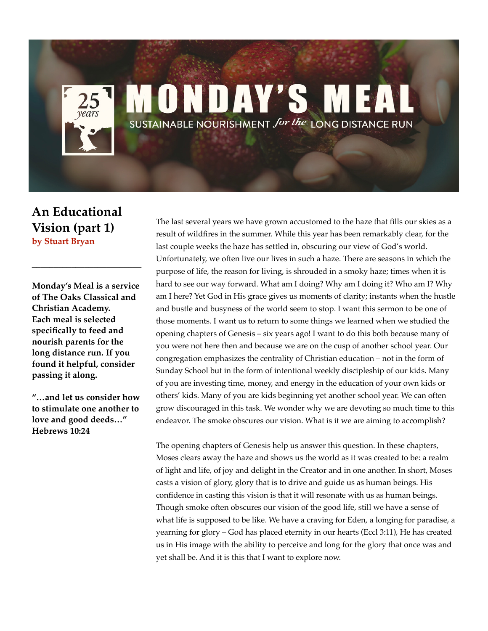## **MONDAY'S ME** SUSTAINABLE NOURISHMENT for the LONG DISTANCE RUN

## **An Educational Vision (part 1) by Stuart Bryan**

**Monday's Meal is a service of The Oaks Classical and Christian Academy. Each meal is selected specifically to feed and nourish parents for the long distance run. If you found it helpful, consider passing it along.** 

**\_\_\_\_\_\_\_\_\_\_\_\_\_\_\_\_\_\_\_\_\_\_\_\_\_**

**"…and let us consider how to stimulate one another to love and good deeds…" Hebrews 10:24**

The last several years we have grown accustomed to the haze that fills our skies as a result of wildfires in the summer. While this year has been remarkably clear, for the last couple weeks the haze has settled in, obscuring our view of God's world. Unfortunately, we often live our lives in such a haze. There are seasons in which the purpose of life, the reason for living, is shrouded in a smoky haze; times when it is hard to see our way forward. What am I doing? Why am I doing it? Who am I? Why am I here? Yet God in His grace gives us moments of clarity; instants when the hustle and bustle and busyness of the world seem to stop. I want this sermon to be one of those moments. I want us to return to some things we learned when we studied the opening chapters of Genesis – six years ago! I want to do this both because many of you were not here then and because we are on the cusp of another school year. Our congregation emphasizes the centrality of Christian education – not in the form of Sunday School but in the form of intentional weekly discipleship of our kids. Many of you are investing time, money, and energy in the education of your own kids or others' kids. Many of you are kids beginning yet another school year. We can often grow discouraged in this task. We wonder why we are devoting so much time to this endeavor. The smoke obscures our vision. What is it we are aiming to accomplish?

The opening chapters of Genesis help us answer this question. In these chapters, Moses clears away the haze and shows us the world as it was created to be: a realm of light and life, of joy and delight in the Creator and in one another. In short, Moses casts a vision of glory, glory that is to drive and guide us as human beings. His confidence in casting this vision is that it will resonate with us as human beings. Though smoke often obscures our vision of the good life, still we have a sense of what life is supposed to be like. We have a craving for Eden, a longing for paradise, a yearning for glory – God has placed eternity in our hearts (Eccl 3:11), He has created us in His image with the ability to perceive and long for the glory that once was and yet shall be. And it is this that I want to explore now.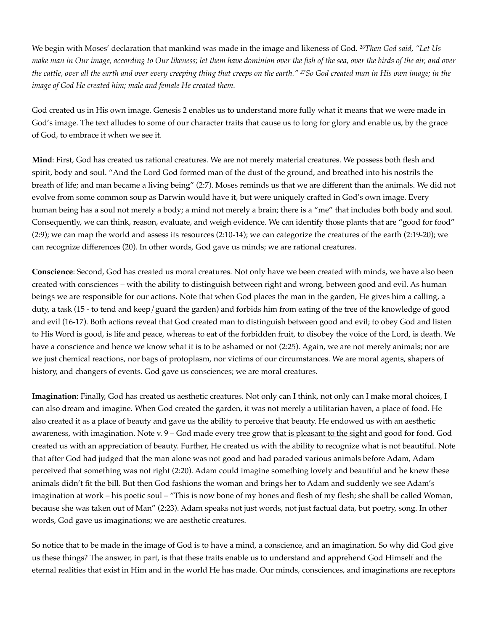We begin with Moses' declaration that mankind was made in the image and likeness of God. *26Then God said, "Let Us make man in Our image, according to Our likeness; let them have dominion over the fish of the sea, over the birds of the air, and over the cattle, over all the earth and over every creeping thing that creeps on the earth." 27So God created man in His own image; in the image of God He created him; male and female He created them.* 

God created us in His own image. Genesis 2 enables us to understand more fully what it means that we were made in God's image. The text alludes to some of our character traits that cause us to long for glory and enable us, by the grace of God, to embrace it when we see it.

**Mind**: First, God has created us rational creatures. We are not merely material creatures. We possess both flesh and spirit, body and soul. "And the Lord God formed man of the dust of the ground, and breathed into his nostrils the breath of life; and man became a living being" (2:7). Moses reminds us that we are different than the animals. We did not evolve from some common soup as Darwin would have it, but were uniquely crafted in God's own image. Every human being has a soul not merely a body; a mind not merely a brain; there is a "me" that includes both body and soul. Consequently, we can think, reason, evaluate, and weigh evidence. We can identify those plants that are "good for food" (2:9); we can map the world and assess its resources (2:10-14); we can categorize the creatures of the earth (2:19-20); we can recognize differences (20). In other words, God gave us minds; we are rational creatures.

**Conscience**: Second, God has created us moral creatures. Not only have we been created with minds, we have also been created with consciences – with the ability to distinguish between right and wrong, between good and evil. As human beings we are responsible for our actions. Note that when God places the man in the garden, He gives him a calling, a duty, a task (15 - to tend and keep/guard the garden) and forbids him from eating of the tree of the knowledge of good and evil (16-17). Both actions reveal that God created man to distinguish between good and evil; to obey God and listen to His Word is good, is life and peace, whereas to eat of the forbidden fruit, to disobey the voice of the Lord, is death. We have a conscience and hence we know what it is to be ashamed or not (2:25). Again, we are not merely animals; nor are we just chemical reactions, nor bags of protoplasm, nor victims of our circumstances. We are moral agents, shapers of history, and changers of events. God gave us consciences; we are moral creatures.

**Imagination**: Finally, God has created us aesthetic creatures. Not only can I think, not only can I make moral choices, I can also dream and imagine. When God created the garden, it was not merely a utilitarian haven, a place of food. He also created it as a place of beauty and gave us the ability to perceive that beauty. He endowed us with an aesthetic awareness, with imagination. Note v. 9 - God made every tree grow that is pleasant to the sight and good for food. God created us with an appreciation of beauty. Further, He created us with the ability to recognize what is not beautiful. Note that after God had judged that the man alone was not good and had paraded various animals before Adam, Adam perceived that something was not right (2:20). Adam could imagine something lovely and beautiful and he knew these animals didn't fit the bill. But then God fashions the woman and brings her to Adam and suddenly we see Adam's imagination at work – his poetic soul – "This is now bone of my bones and flesh of my flesh; she shall be called Woman, because she was taken out of Man" (2:23). Adam speaks not just words, not just factual data, but poetry, song. In other words, God gave us imaginations; we are aesthetic creatures.

So notice that to be made in the image of God is to have a mind, a conscience, and an imagination. So why did God give us these things? The answer, in part, is that these traits enable us to understand and apprehend God Himself and the eternal realities that exist in Him and in the world He has made. Our minds, consciences, and imaginations are receptors